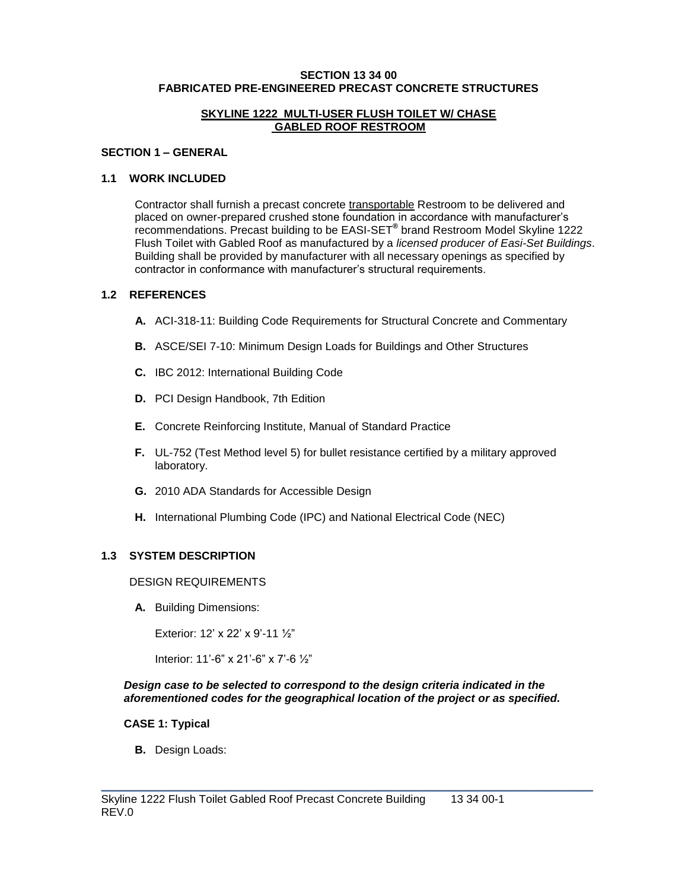#### **SECTION 13 34 00 FABRICATED PRE-ENGINEERED PRECAST CONCRETE STRUCTURES**

#### **SKYLINE 1222 MULTI-USER FLUSH TOILET W/ CHASE GABLED ROOF RESTROOM**

#### **SECTION 1 – GENERAL**

#### **1.1 WORK INCLUDED**

Contractor shall furnish a precast concrete transportable Restroom to be delivered and placed on owner-prepared crushed stone foundation in accordance with manufacturer's recommendations. Precast building to be EASI-SET**®** brand Restroom Model Skyline 1222 Flush Toilet with Gabled Roof as manufactured by a *licensed producer of Easi-Set Buildings*. Building shall be provided by manufacturer with all necessary openings as specified by contractor in conformance with manufacturer's structural requirements.

# **1.2 REFERENCES**

- **A.** ACI-318-11: Building Code Requirements for Structural Concrete and Commentary
- **B.** ASCE/SEI 7-10: Minimum Design Loads for Buildings and Other Structures
- **C.** IBC 2012: International Building Code
- **D.** PCI Design Handbook, 7th Edition
- **E.** Concrete Reinforcing Institute, Manual of Standard Practice
- **F.** UL-752 (Test Method level 5) for bullet resistance certified by a military approved laboratory.
- **G.** 2010 ADA Standards for Accessible Design
- **H.** International Plumbing Code (IPC) and National Electrical Code (NEC)

# **1.3 SYSTEM DESCRIPTION**

#### DESIGN REQUIREMENTS

**A.** Building Dimensions:

Exterior: 12' x 22' x 9'-11 ½"

Interior: 11'-6" x 21'-6" x 7'-6 ½"

#### *Design case to be selected to correspond to the design criteria indicated in the aforementioned codes for the geographical location of the project or as specified.*

\_\_\_\_\_\_\_\_\_\_\_\_\_\_\_\_\_\_\_\_\_\_\_\_\_\_\_\_\_\_\_\_\_\_\_\_\_\_\_\_\_\_\_\_\_\_\_\_\_\_\_\_\_\_\_\_\_\_\_\_\_\_\_\_\_\_\_\_\_\_\_\_\_

#### **CASE 1: Typical**

**B.** Design Loads: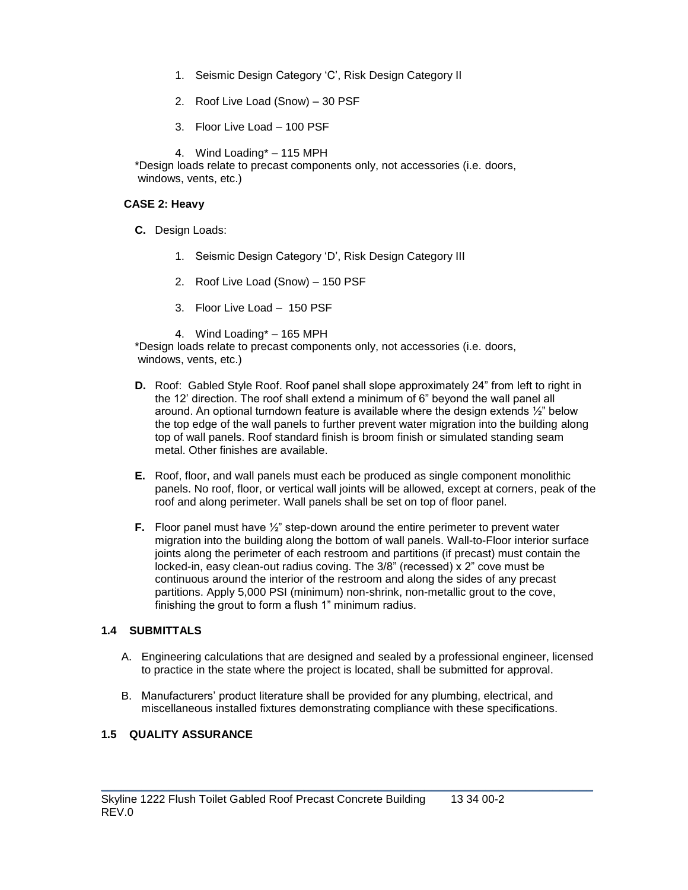- 1. Seismic Design Category 'C', Risk Design Category II
- 2. Roof Live Load (Snow) 30 PSF
- 3. Floor Live Load 100 PSF

4. Wind Loading\* – 115 MPH

\*Design loads relate to precast components only, not accessories (i.e. doors, windows, vents, etc.)

# **CASE 2: Heavy**

- **C.** Design Loads:
	- 1. Seismic Design Category 'D', Risk Design Category III
	- 2. Roof Live Load (Snow) 150 PSF
	- 3. Floor Live Load 150 PSF
	- 4. Wind Loading\* 165 MPH

\*Design loads relate to precast components only, not accessories (i.e. doors, windows, vents, etc.)

- **D.** Roof: Gabled Style Roof. Roof panel shall slope approximately 24" from left to right in the 12' direction. The roof shall extend a minimum of 6" beyond the wall panel all around. An optional turndown feature is available where the design extends ½" below the top edge of the wall panels to further prevent water migration into the building along top of wall panels. Roof standard finish is broom finish or simulated standing seam metal. Other finishes are available.
- **E.** Roof, floor, and wall panels must each be produced as single component monolithic panels. No roof, floor, or vertical wall joints will be allowed, except at corners, peak of the roof and along perimeter. Wall panels shall be set on top of floor panel.
- **F.** Floor panel must have ½" step-down around the entire perimeter to prevent water migration into the building along the bottom of wall panels. Wall-to-Floor interior surface joints along the perimeter of each restroom and partitions (if precast) must contain the locked-in, easy clean-out radius coving. The 3/8" (recessed) x 2" cove must be continuous around the interior of the restroom and along the sides of any precast partitions. Apply 5,000 PSI (minimum) non-shrink, non-metallic grout to the cove, finishing the grout to form a flush 1" minimum radius.

# **1.4 SUBMITTALS**

- A. Engineering calculations that are designed and sealed by a professional engineer, licensed to practice in the state where the project is located, shall be submitted for approval.
- B. Manufacturers' product literature shall be provided for any plumbing, electrical, and miscellaneous installed fixtures demonstrating compliance with these specifications.

\_\_\_\_\_\_\_\_\_\_\_\_\_\_\_\_\_\_\_\_\_\_\_\_\_\_\_\_\_\_\_\_\_\_\_\_\_\_\_\_\_\_\_\_\_\_\_\_\_\_\_\_\_\_\_\_\_\_\_\_\_\_\_\_\_\_\_\_\_\_\_\_\_

# **1.5 QUALITY ASSURANCE**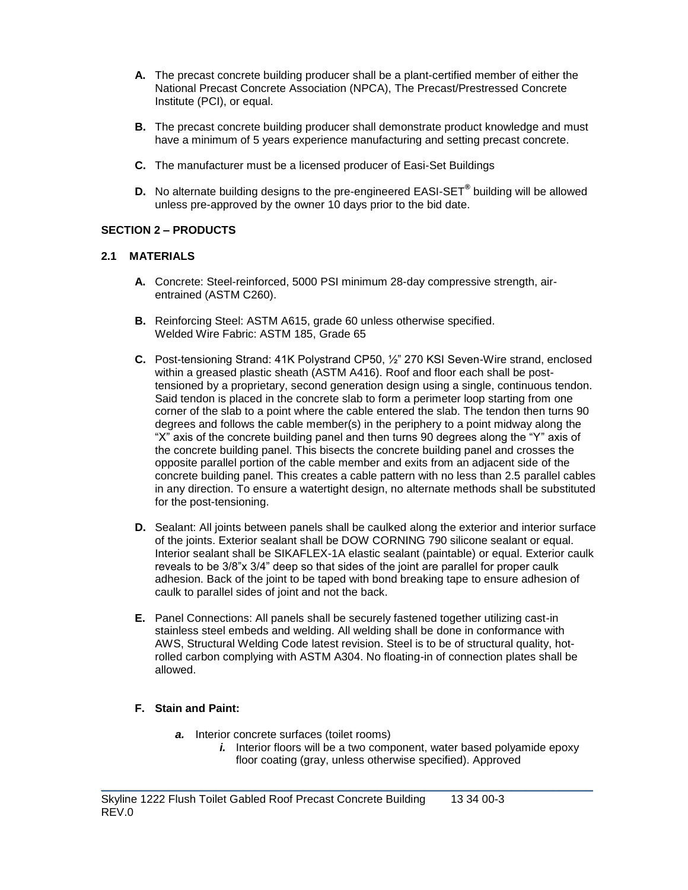- **A.** The precast concrete building producer shall be a plant-certified member of either the National Precast Concrete Association (NPCA), The Precast/Prestressed Concrete Institute (PCI), or equal.
- **B.** The precast concrete building producer shall demonstrate product knowledge and must have a minimum of 5 years experience manufacturing and setting precast concrete.
- **C.** The manufacturer must be a licensed producer of Easi-Set Buildings
- **D.** No alternate building designs to the pre-engineered EASI-SET**®** building will be allowed unless pre-approved by the owner 10 days prior to the bid date.

# **SECTION 2 – PRODUCTS**

#### **2.1 MATERIALS**

- **A.** Concrete: Steel-reinforced, 5000 PSI minimum 28-day compressive strength, airentrained (ASTM C260).
- **B.** Reinforcing Steel: ASTM A615, grade 60 unless otherwise specified. Welded Wire Fabric: ASTM 185, Grade 65
- **C.** Post-tensioning Strand: 41K Polystrand CP50, ½" 270 KSI Seven-Wire strand, enclosed within a greased plastic sheath (ASTM A416). Roof and floor each shall be posttensioned by a proprietary, second generation design using a single, continuous tendon. Said tendon is placed in the concrete slab to form a perimeter loop starting from one corner of the slab to a point where the cable entered the slab. The tendon then turns 90 degrees and follows the cable member(s) in the periphery to a point midway along the "X" axis of the concrete building panel and then turns 90 degrees along the "Y" axis of the concrete building panel. This bisects the concrete building panel and crosses the opposite parallel portion of the cable member and exits from an adjacent side of the concrete building panel. This creates a cable pattern with no less than 2.5 parallel cables in any direction. To ensure a watertight design, no alternate methods shall be substituted for the post-tensioning.
- **D.** Sealant: All joints between panels shall be caulked along the exterior and interior surface of the joints. Exterior sealant shall be DOW CORNING 790 silicone sealant or equal. Interior sealant shall be SIKAFLEX-1A elastic sealant (paintable) or equal. Exterior caulk reveals to be 3/8"x 3/4" deep so that sides of the joint are parallel for proper caulk adhesion. Back of the joint to be taped with bond breaking tape to ensure adhesion of caulk to parallel sides of joint and not the back.
- **E.** Panel Connections: All panels shall be securely fastened together utilizing cast-in stainless steel embeds and welding. All welding shall be done in conformance with AWS, Structural Welding Code latest revision. Steel is to be of structural quality, hotrolled carbon complying with ASTM A304. No floating-in of connection plates shall be allowed.

\_\_\_\_\_\_\_\_\_\_\_\_\_\_\_\_\_\_\_\_\_\_\_\_\_\_\_\_\_\_\_\_\_\_\_\_\_\_\_\_\_\_\_\_\_\_\_\_\_\_\_\_\_\_\_\_\_\_\_\_\_\_\_\_\_\_\_\_\_\_\_\_\_

# **F. Stain and Paint:**

- *a.* Interior concrete surfaces (toilet rooms)
	- *i.* Interior floors will be a two component, water based polyamide epoxy floor coating (gray, unless otherwise specified). Approved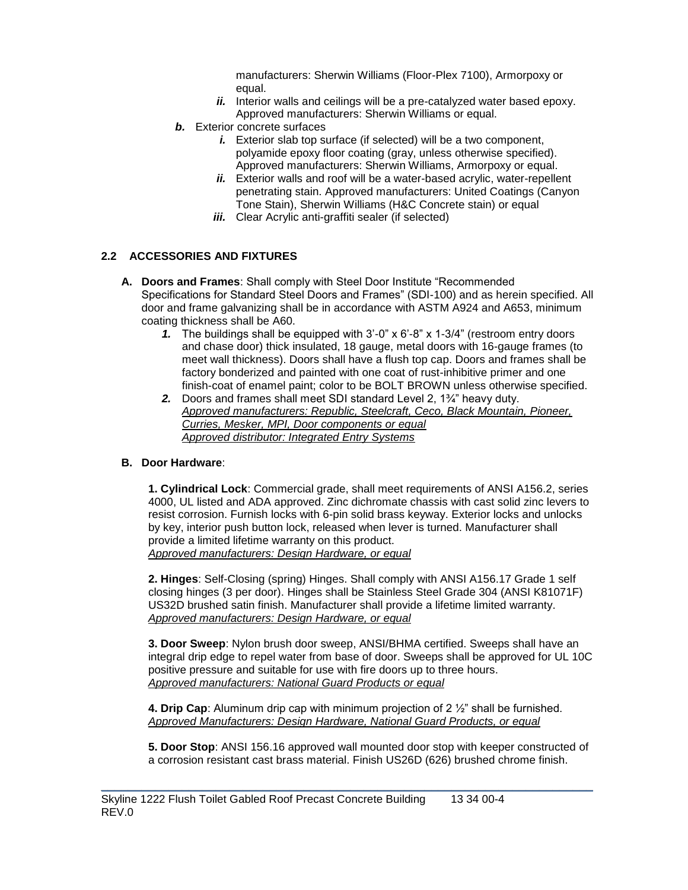manufacturers: Sherwin Williams (Floor-Plex 7100), Armorpoxy or equal.

- *ii.* Interior walls and ceilings will be a pre-catalyzed water based epoxy. Approved manufacturers: Sherwin Williams or equal.
- *b.* Exterior concrete surfaces
	- *i.* Exterior slab top surface (if selected) will be a two component, polyamide epoxy floor coating (gray, unless otherwise specified). Approved manufacturers: Sherwin Williams, Armorpoxy or equal.
	- ii. Exterior walls and roof will be a water-based acrylic, water-repellent penetrating stain. Approved manufacturers: United Coatings (Canyon Tone Stain), Sherwin Williams (H&C Concrete stain) or equal
	- *iii.* Clear Acrylic anti-graffiti sealer (if selected)

# **2.2 ACCESSORIES AND FIXTURES**

- **A. Doors and Frames**: Shall comply with Steel Door Institute "Recommended Specifications for Standard Steel Doors and Frames" (SDI-100) and as herein specified. All door and frame galvanizing shall be in accordance with ASTM A924 and A653, minimum coating thickness shall be A60.
	- *1.* The buildings shall be equipped with 3'-0" x 6'-8" x 1-3/4" (restroom entry doors and chase door) thick insulated, 18 gauge, metal doors with 16-gauge frames (to meet wall thickness). Doors shall have a flush top cap. Doors and frames shall be factory bonderized and painted with one coat of rust-inhibitive primer and one finish-coat of enamel paint; color to be BOLT BROWN unless otherwise specified.
	- *2.* Doors and frames shall meet SDI standard Level 2, 1¾" heavy duty. *Approved manufacturers: Republic, Steelcraft, Ceco, Black Mountain, Pioneer, Curries, Mesker, MPI, Door components or equal Approved distributor: Integrated Entry Systems*

# **B. Door Hardware**:

**1. Cylindrical Lock**: Commercial grade, shall meet requirements of ANSI A156.2, series 4000, UL listed and ADA approved. Zinc dichromate chassis with cast solid zinc levers to resist corrosion. Furnish locks with 6-pin solid brass keyway. Exterior locks and unlocks by key, interior push button lock, released when lever is turned. Manufacturer shall provide a limited lifetime warranty on this product. *Approved manufacturers: Design Hardware, or equal*

**2. Hinges**: Self-Closing (spring) Hinges. Shall comply with ANSI A156.17 Grade 1 self closing hinges (3 per door). Hinges shall be Stainless Steel Grade 304 (ANSI K81071F) US32D brushed satin finish. Manufacturer shall provide a lifetime limited warranty. *Approved manufacturers: Design Hardware, or equal*

**3. Door Sweep**: Nylon brush door sweep, ANSI/BHMA certified. Sweeps shall have an integral drip edge to repel water from base of door. Sweeps shall be approved for UL 10C positive pressure and suitable for use with fire doors up to three hours. *Approved manufacturers: National Guard Products or equal*

**4. Drip Cap**: Aluminum drip cap with minimum projection of 2 ½" shall be furnished. *Approved Manufacturers: Design Hardware, National Guard Products, or equal*

\_\_\_\_\_\_\_\_\_\_\_\_\_\_\_\_\_\_\_\_\_\_\_\_\_\_\_\_\_\_\_\_\_\_\_\_\_\_\_\_\_\_\_\_\_\_\_\_\_\_\_\_\_\_\_\_\_\_\_\_\_\_\_\_\_\_\_\_\_\_\_\_\_

**5. Door Stop**: ANSI 156.16 approved wall mounted door stop with keeper constructed of a corrosion resistant cast brass material. Finish US26D (626) brushed chrome finish.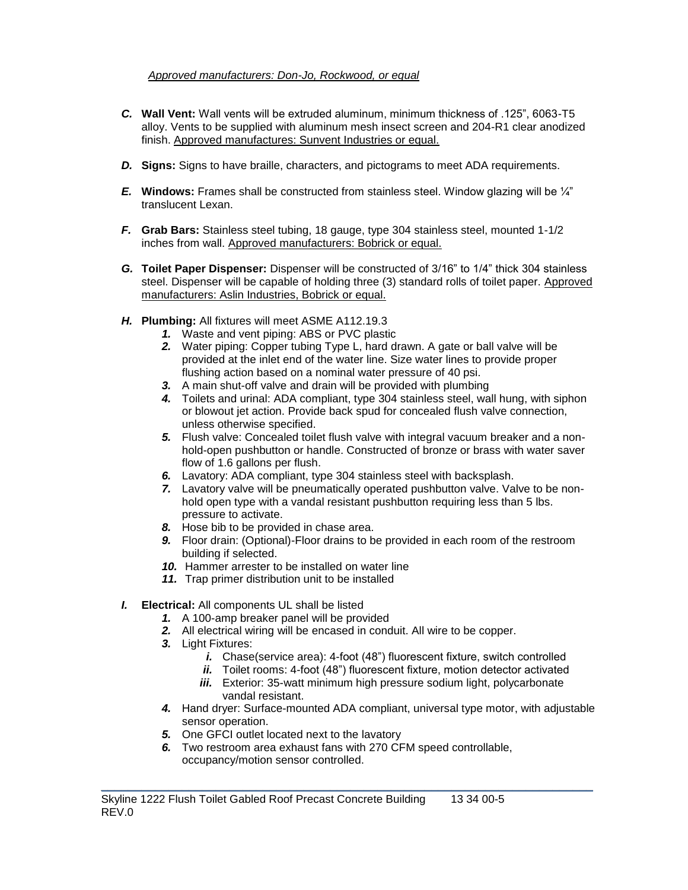# *Approved manufacturers: Don-Jo, Rockwood, or equal*

- *C.* **Wall Vent:** Wall vents will be extruded aluminum, minimum thickness of .125", 6063-T5 alloy. Vents to be supplied with aluminum mesh insect screen and 204-R1 clear anodized finish. Approved manufactures: Sunvent Industries or equal.
- *D.* **Signs:** Signs to have braille, characters, and pictograms to meet ADA requirements.
- *E.* **Windows:** Frames shall be constructed from stainless steel. Window glazing will be ¼" translucent Lexan.
- *F.* **Grab Bars:** Stainless steel tubing, 18 gauge, type 304 stainless steel, mounted 1-1/2 inches from wall. Approved manufacturers: Bobrick or equal.
- *G.* **Toilet Paper Dispenser:** Dispenser will be constructed of 3/16" to 1/4" thick 304 stainless steel. Dispenser will be capable of holding three (3) standard rolls of toilet paper. Approved manufacturers: Aslin Industries, Bobrick or equal.
- *H.* **Plumbing:** All fixtures will meet ASME A112.19.3
	- *1.* Waste and vent piping: ABS or PVC plastic
	- *2.* Water piping: Copper tubing Type L, hard drawn. A gate or ball valve will be provided at the inlet end of the water line. Size water lines to provide proper flushing action based on a nominal water pressure of 40 psi.
	- *3.* A main shut-off valve and drain will be provided with plumbing
	- *4.* Toilets and urinal: ADA compliant, type 304 stainless steel, wall hung, with siphon or blowout jet action. Provide back spud for concealed flush valve connection, unless otherwise specified.
	- *5.* Flush valve: Concealed toilet flush valve with integral vacuum breaker and a nonhold-open pushbutton or handle. Constructed of bronze or brass with water saver flow of 1.6 gallons per flush.
	- *6.* Lavatory: ADA compliant, type 304 stainless steel with backsplash.
	- *7.* Lavatory valve will be pneumatically operated pushbutton valve. Valve to be nonhold open type with a vandal resistant pushbutton requiring less than 5 lbs. pressure to activate.
	- *8.* Hose bib to be provided in chase area.
	- *9.* Floor drain: (Optional)-Floor drains to be provided in each room of the restroom building if selected.
	- *10.* Hammer arrester to be installed on water line
	- *11.* Trap primer distribution unit to be installed

# *I.* **Electrical:** All components UL shall be listed

- *1.* A 100-amp breaker panel will be provided
- *2.* All electrical wiring will be encased in conduit. All wire to be copper.
- *3.* Light Fixtures:
	- *i.* Chase(service area): 4-foot (48") fluorescent fixture, switch controlled
	- *ii.* Toilet rooms: 4-foot (48") fluorescent fixture, motion detector activated
	- *iii.* Exterior: 35-watt minimum high pressure sodium light, polycarbonate vandal resistant.
- *4.* Hand dryer: Surface-mounted ADA compliant, universal type motor, with adjustable sensor operation.
- *5.* One GFCI outlet located next to the lavatory
- *6.* Two restroom area exhaust fans with 270 CFM speed controllable, occupancy/motion sensor controlled.

\_\_\_\_\_\_\_\_\_\_\_\_\_\_\_\_\_\_\_\_\_\_\_\_\_\_\_\_\_\_\_\_\_\_\_\_\_\_\_\_\_\_\_\_\_\_\_\_\_\_\_\_\_\_\_\_\_\_\_\_\_\_\_\_\_\_\_\_\_\_\_\_\_